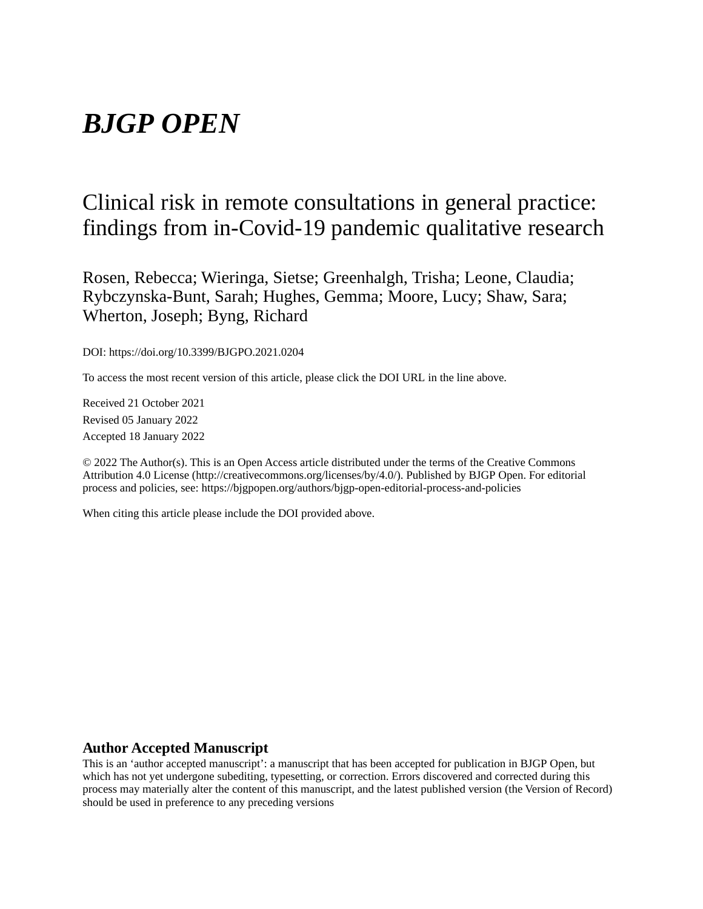# *BJGP OPEN*

# Clinical risk in remote consultations in general practice: findings from in-Covid-19 pandemic qualitative research

Rosen, Rebecca; Wieringa, Sietse; Greenhalgh, Trisha; Leone, Claudia; Rybczynska-Bunt, Sarah; Hughes, Gemma; Moore, Lucy; Shaw, Sara; Wherton, Joseph; Byng, Richard

DOI: https://doi.org/10.3399/BJGPO.2021.0204

To access the most recent version of this article, please click the DOI URL in the line above.

Received 21 October 2021 Revised 05 January 2022 Accepted 18 January 2022

© 2022 The Author(s). This is an Open Access article distributed under the terms of the Creative Commons Attribution 4.0 License (http://creativecommons.org/licenses/by/4.0/). Published by BJGP Open. For editorial process and policies, see: https://bjgpopen.org/authors/bjgp-open-editorial-process-and-policies

When citing this article please include the DOI provided above.

#### **Author Accepted Manuscript**

This is an 'author accepted manuscript': a manuscript that has been accepted for publication in BJGP Open, but which has not yet undergone subediting, typesetting, or correction. Errors discovered and corrected during this process may materially alter the content of this manuscript, and the latest published version (the Version of Record) should be used in preference to any preceding versions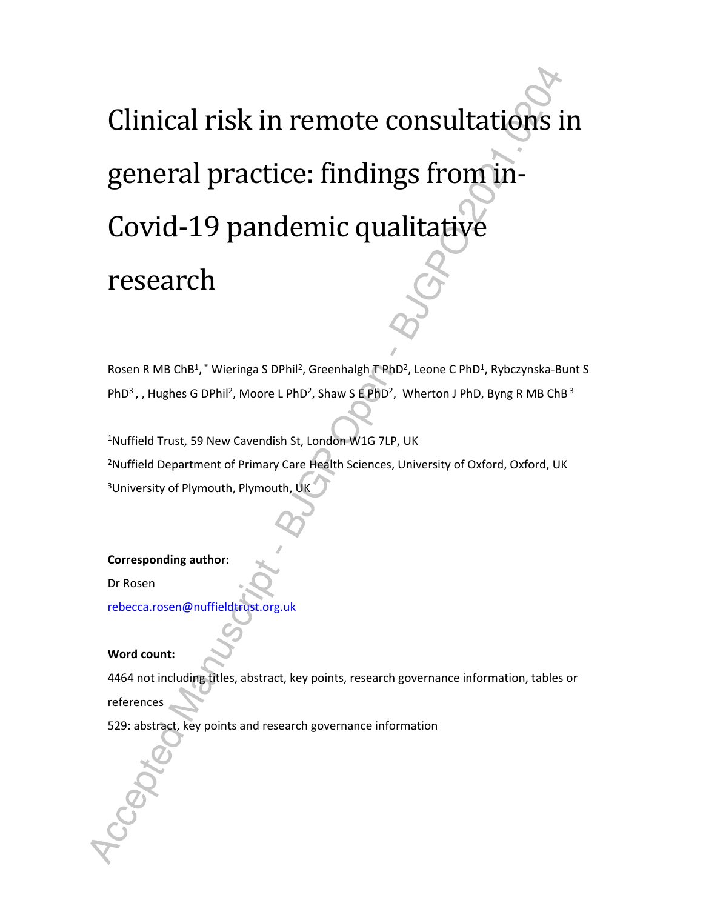# Clinical risk in remote consultations in general practice: findings from in-Covid-19 pandemic qualitative research

Rosen R MB ChB<sup>1</sup>,<sup>\*</sup> Wieringa S DPhil<sup>2</sup>, Greenhalgh T PhD<sup>2</sup>, Leone C PhD<sup>1</sup>, Rybczynska-Bunt S PhD<sup>3</sup>,, Hughes G DPhil<sup>2</sup>, Moore L PhD<sup>2</sup>, Shaw S E PhD<sup>2</sup>, Wherton J PhD, Byng R MB ChB<sup>3</sup>

<sup>1</sup>Nuffield Trust, 59 New Cavendish St, London W1G 7LP, UK <sup>2</sup>Nuffield Department of Primary Care Health Sciences, University of Oxford, Oxford, UK <sup>3</sup>University of Plymouth, Plymouth, UK

**Corresponding author:** 

Dr Rosen

rebecca.rosen@nuffieldtrust.org.uk

#### **Word count:**

4464 not including titles, abstract, key points, research governance information, tables or references

529: abstract, key points and research governance information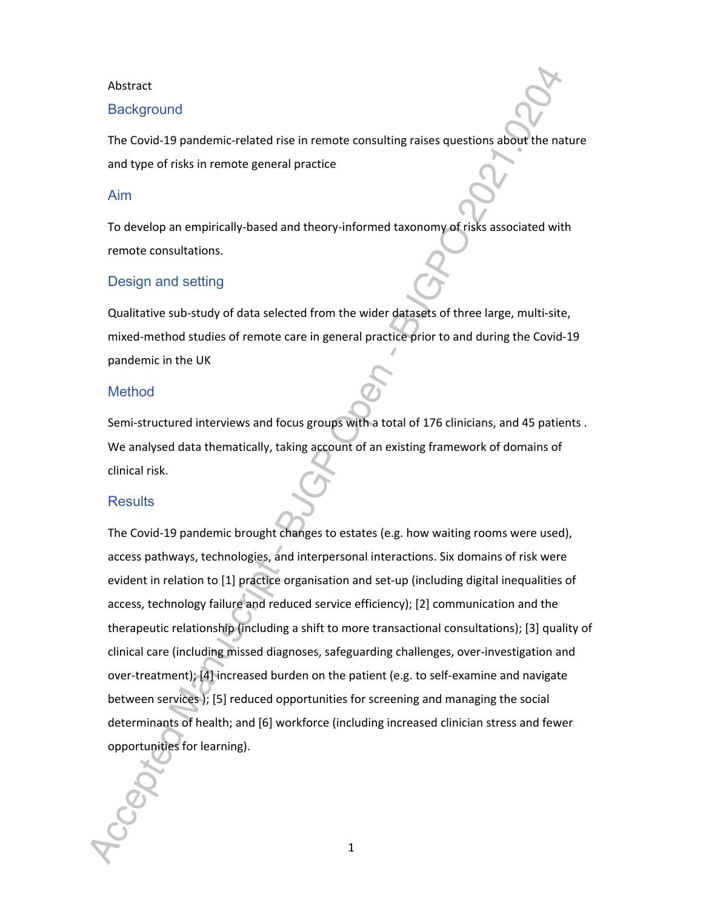#### Abstract

#### **Background**

The Covid-19 pandemic-related rise in remote consulting raises questions about the nature and type of risks in remote general practice

#### Aim

To develop an empirically-based and theory-informed taxonomy of risks associated with remote consultations.

#### Design and setting

Qualitative sub-study of data selected from the wider datasets of three large, multi-site, mixed-method studies of remote care in general practice prior to and during the Covid-19 pandemic in the UK

#### Method

Semi-structured interviews and focus groups with a total of 176 clinicians, and 45 patients . We analysed data thematically, taking account of an existing framework of domains of clinical risk.

#### **Results**

The Covid-19 pandemic brought changes to estates (e.g. how waiting rooms were used), access pathways, technologies, and interpersonal interactions. Six domains of risk were evident in relation to [1] practice organisation and set-up (including digital inequalities of access, technology failure and reduced service efficiency); [2] communication and the therapeutic relationship (including a shift to more transactional consultations); [3] quality of clinical care (including missed diagnoses, safeguarding challenges, over-investigation and over-treatment); [4] increased burden on the patient (e.g. to self-examine and navigate between services ); [5] reduced opportunities for screening and managing the social determinants of health; and [6] workforce (including increased clinician stress and fewer opportunities for learning).

1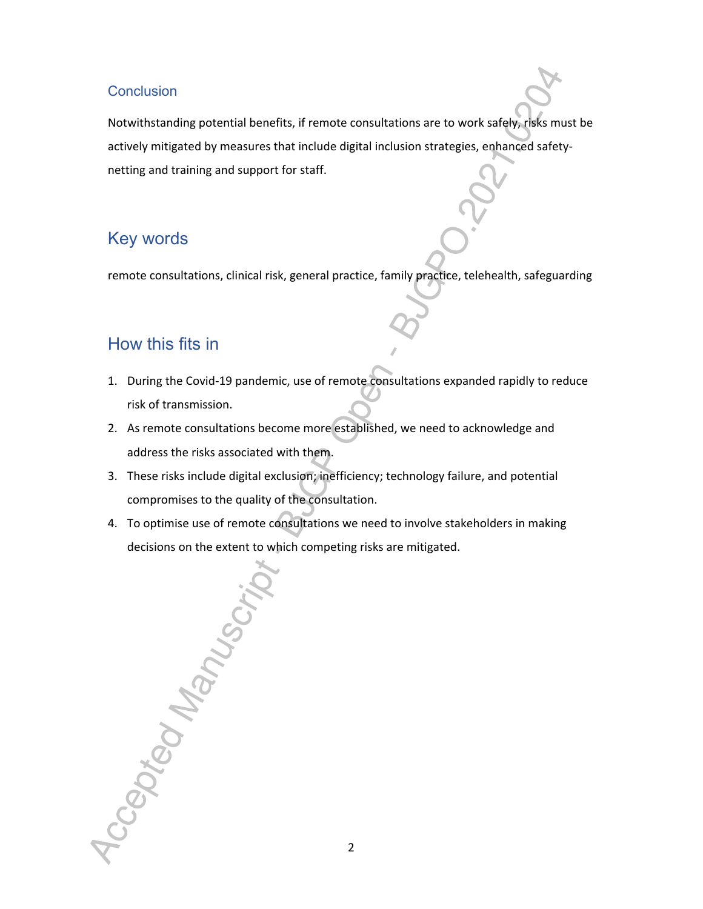#### **Conclusion**

Notwithstanding potential benefits, if remote consultations are to work safely, risks must be actively mitigated by measures that include digital inclusion strategies, enhanced safetynetting and training and support for staff.

# Key words

remote consultations, clinical risk, general practice, family practice, telehealth, safeguarding

# How this fits in

- 1. During the Covid-19 pandemic, use of remote consultations expanded rapidly to reduce risk of transmission.
- 2. As remote consultations become more established, we need to acknowledge and address the risks associated with them.
- 3. These risks include digital exclusion; inefficiency; technology failure, and potential compromises to the quality of the consultation.
- 4. To optimise use of remote consultations we need to involve stakeholders in making decisions on the extent to which competing risks are mitigated.

Accepted Manus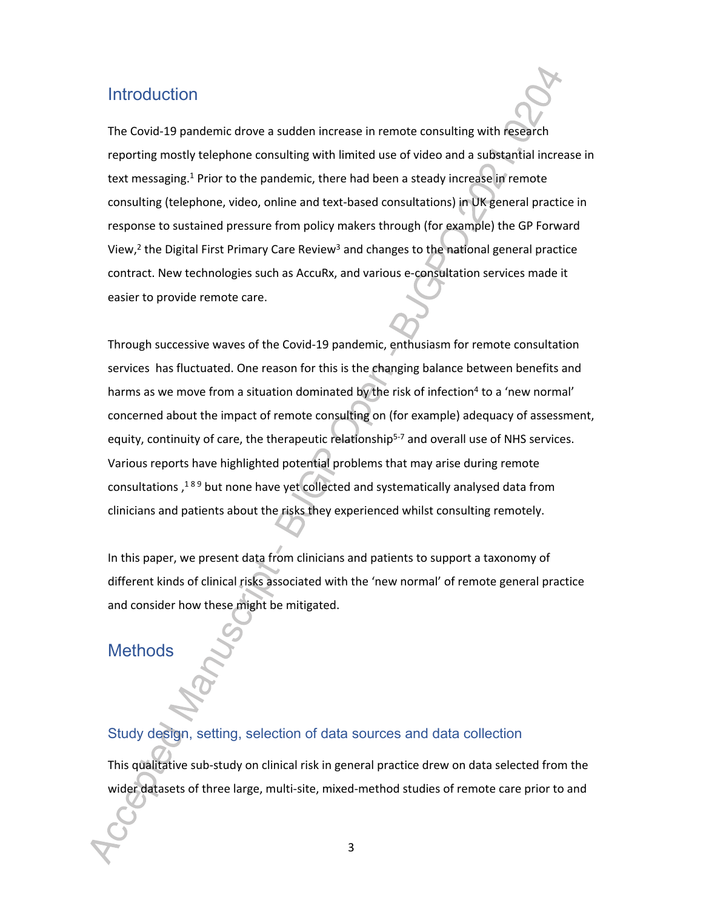# **Introduction**

The Covid-19 pandemic drove a sudden increase in remote consulting with research reporting mostly telephone consulting with limited use of video and a substantial increase in text messaging.<sup>1</sup> Prior to the pandemic, there had been a steady increase in remote consulting (telephone, video, online and text-based consultations) in UK general practice in response to sustained pressure from policy makers through (for example) the GP Forward View,<sup>2</sup> the Digital First Primary Care Review<sup>3</sup> and changes to the national general practice contract. New technologies such as AccuRx, and various e-consultation services made it easier to provide remote care.

Through successive waves of the Covid-19 pandemic, enthusiasm for remote consultation services has fluctuated. One reason for this is the changing balance between benefits and harms as we move from a situation dominated by the risk of infection<sup>4</sup> to a 'new normal' concerned about the impact of remote consulting on (for example) adequacy of assessment, equity, continuity of care, the therapeutic relationship<sup>5-7</sup> and overall use of NHS services. Various reports have highlighted potential problems that may arise during remote consultations,<sup>189</sup> but none have yet collected and systematically analysed data from clinicians and patients about the risks they experienced whilst consulting remotely.

In this paper, we present data from clinicians and patients to support a taxonomy of different kinds of clinical risks associated with the 'new normal' of remote general practice and consider how these might be mitigated.

# **Methods**

#### Study design, setting, selection of data sources and data collection

This qualitative sub-study on clinical risk in general practice drew on data selected from the wider datasets of three large, multi-site, mixed-method studies of remote care prior to and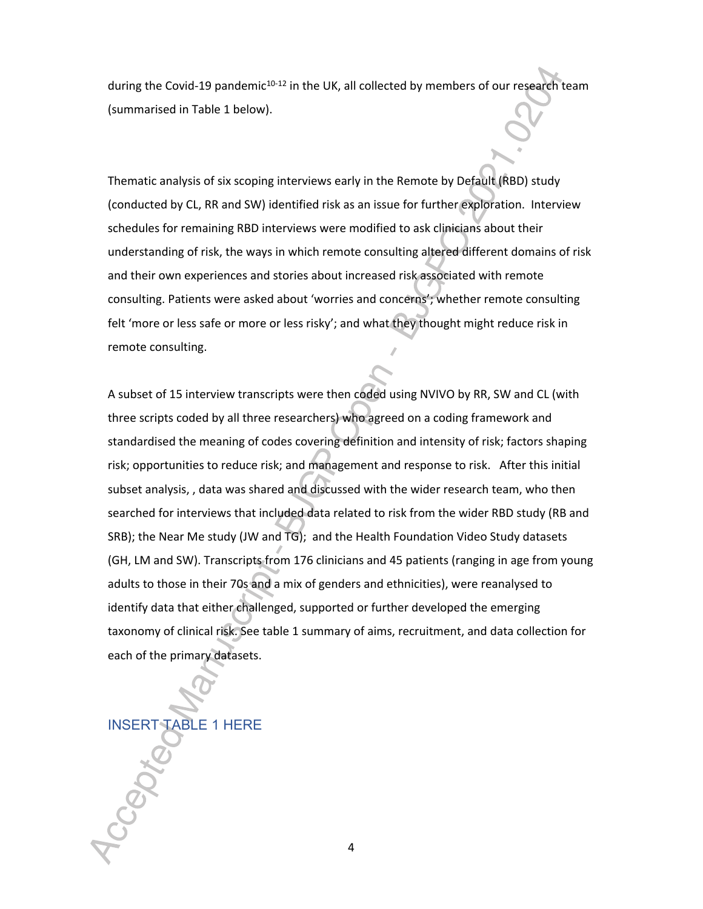during the Covid-19 pandemic<sup>10-12</sup> in the UK, all collected by members of our research team (summarised in Table 1 below).

Thematic analysis of six scoping interviews early in the Remote by Default (RBD) study (conducted by CL, RR and SW) identified risk as an issue for further exploration. Interview schedules for remaining RBD interviews were modified to ask clinicians about their understanding of risk, the ways in which remote consulting altered different domains of risk and their own experiences and stories about increased risk associated with remote consulting. Patients were asked about 'worries and concerns'; whether remote consulting felt 'more or less safe or more or less risky'; and what they thought might reduce risk in remote consulting.

A subset of 15 interview transcripts were then coded using NVIVO by RR, SW and CL (with three scripts coded by all three researchers) who agreed on a coding framework and standardised the meaning of codes covering definition and intensity of risk; factors shaping risk; opportunities to reduce risk; and management and response to risk. After this initial subset analysis, , data was shared and discussed with the wider research team, who then searched for interviews that included data related to risk from the wider RBD study (RB and SRB); the Near Me study (JW and TG); and the Health Foundation Video Study datasets (GH, LM and SW). Transcripts from 176 clinicians and 45 patients (ranging in age from young adults to those in their 70s and a mix of genders and ethnicities), were reanalysed to identify data that either challenged, supported or further developed the emerging taxonomy of clinical risk. See table 1 summary of aims, recruitment, and data collection for each of the primary datasets.

INSERT TABLE 1 HERE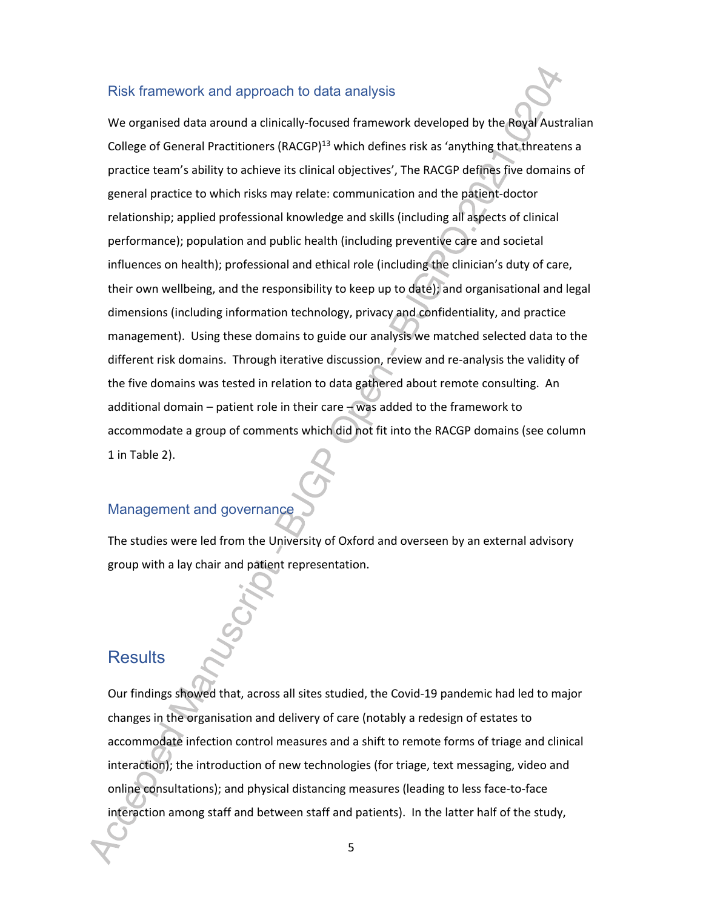#### Risk framework and approach to data analysis

We organised data around a clinically-focused framework developed by the Royal Australian College of General Practitioners (RACGP)<sup>13</sup> which defines risk as 'anything that threatens a practice team's ability to achieve its clinical objectives', The RACGP defines five domains of general practice to which risks may relate: communication and the patient-doctor relationship; applied professional knowledge and skills (including all aspects of clinical performance); population and public health (including preventive care and societal influences on health); professional and ethical role (including the clinician's duty of care, their own wellbeing, and the responsibility to keep up to date); and organisational and legal dimensions (including information technology, privacy and confidentiality, and practice management). Using these domains to guide our analysis we matched selected data to the different risk domains. Through iterative discussion, review and re-analysis the validity of the five domains was tested in relation to data gathered about remote consulting. An additional domain – patient role in their care – was added to the framework to accommodate a group of comments which did not fit into the RACGP domains (see column 1 in Table 2).

## Management and governance

The studies were led from the University of Oxford and overseen by an external advisory group with a lay chair and patient representation.

## **Results**

Our findings showed that, across all sites studied, the Covid-19 pandemic had led to major changes in the organisation and delivery of care (notably a redesign of estates to accommodate infection control measures and a shift to remote forms of triage and clinical interaction); the introduction of new technologies (for triage, text messaging, video and online consultations); and physical distancing measures (leading to less face-to-face interaction among staff and between staff and patients). In the latter half of the study,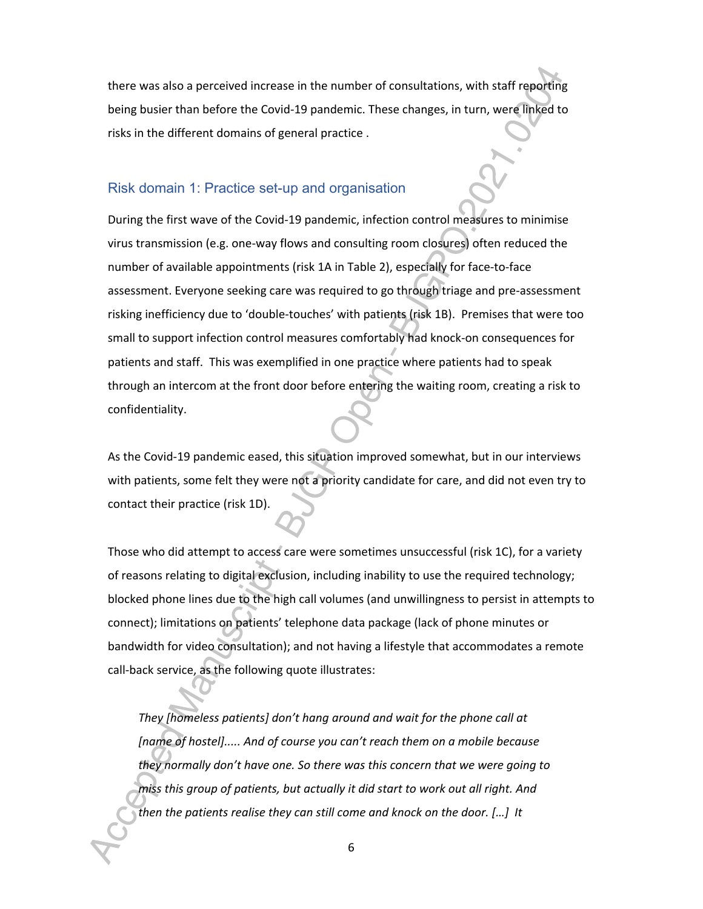there was also a perceived increase in the number of consultations, with staff reporting being busier than before the Covid-19 pandemic. These changes, in turn, were linked to risks in the different domains of general practice .

#### Risk domain 1: Practice set-up and organisation

During the first wave of the Covid-19 pandemic, infection control measures to minimise virus transmission (e.g. one-way flows and consulting room closures) often reduced the number of available appointments (risk 1A in Table 2), especially for face-to-face assessment. Everyone seeking care was required to go through triage and pre-assessment risking inefficiency due to 'double-touches' with patients (risk 1B). Premises that were too small to support infection control measures comfortably had knock-on consequences for patients and staff. This was exemplified in one practice where patients had to speak through an intercom at the front door before entering the waiting room, creating a risk to confidentiality.

As the Covid-19 pandemic eased, this situation improved somewhat, but in our interviews with patients, some felt they were not a priority candidate for care, and did not even try to contact their practice (risk 1D).

Those who did attempt to access care were sometimes unsuccessful (risk 1C), for a variety of reasons relating to digital exclusion, including inability to use the required technology; blocked phone lines due to the high call volumes (and unwillingness to persist in attempts to connect); limitations on patients' telephone data package (lack of phone minutes or bandwidth for video consultation); and not having a lifestyle that accommodates a remote call-back service, as the following quote illustrates:

*They [homeless patients] don't hang around and wait for the phone call at [name of hostel]..... And of course you can't reach them on a mobile because they normally don't have one. So there was this concern that we were going to miss this group of patients, but actually it did start to work out all right. And then the patients realise they can still come and knock on the door. […] It*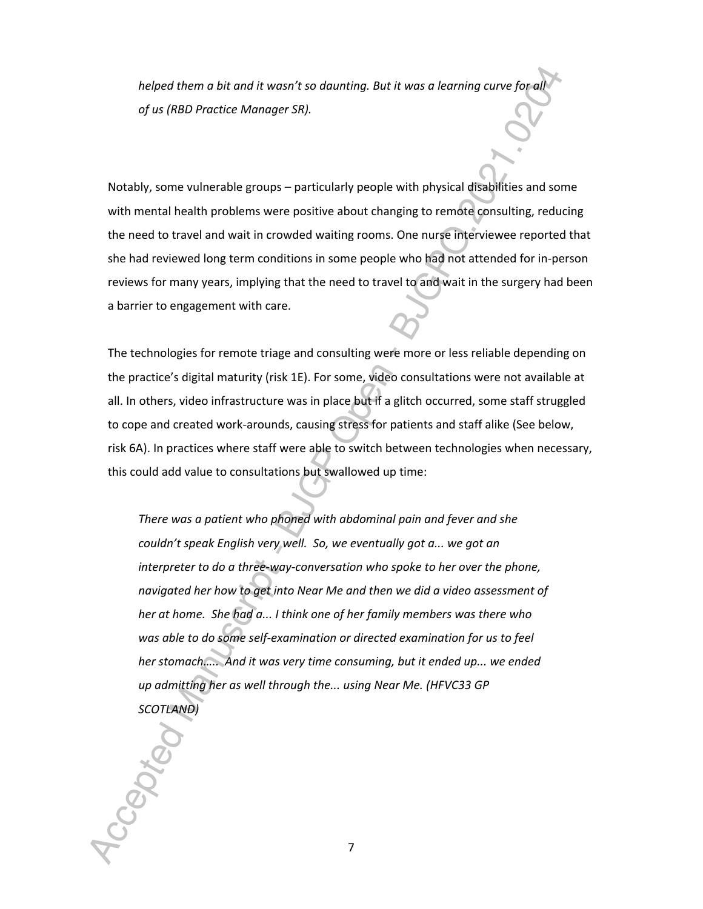*helped them a bit and it wasn't so daunting. But it was a learning curve for all of us (RBD Practice Manager SR).* 

Notably, some vulnerable groups – particularly people with physical disabilities and some with mental health problems were positive about changing to remote consulting, reducing the need to travel and wait in crowded waiting rooms. One nurse interviewee reported that she had reviewed long term conditions in some people who had not attended for in-person reviews for many years, implying that the need to travel to and wait in the surgery had been a barrier to engagement with care.

The technologies for remote triage and consulting were more or less reliable depending on the practice's digital maturity (risk 1E). For some, video consultations were not available at all. In others, video infrastructure was in place but if a glitch occurred, some staff struggled to cope and created work-arounds, causing stress for patients and staff alike (See below, risk 6A). In practices where staff were able to switch between technologies when necessary, this could add value to consultations but swallowed up time:

*There was a patient who phoned with abdominal pain and fever and she couldn't speak English very well. So, we eventually got a... we got an interpreter to do a three-way-conversation who spoke to her over the phone, navigated her how to get into Near Me and then we did a video assessment of her at home. She had a... I think one of her family members was there who was able to do some self-examination or directed examination for us to feel her stomach….. And it was very time consuming, but it ended up... we ended up admitting her as well through the... using Near Me. (HFVC33 GP SCOTLAND)*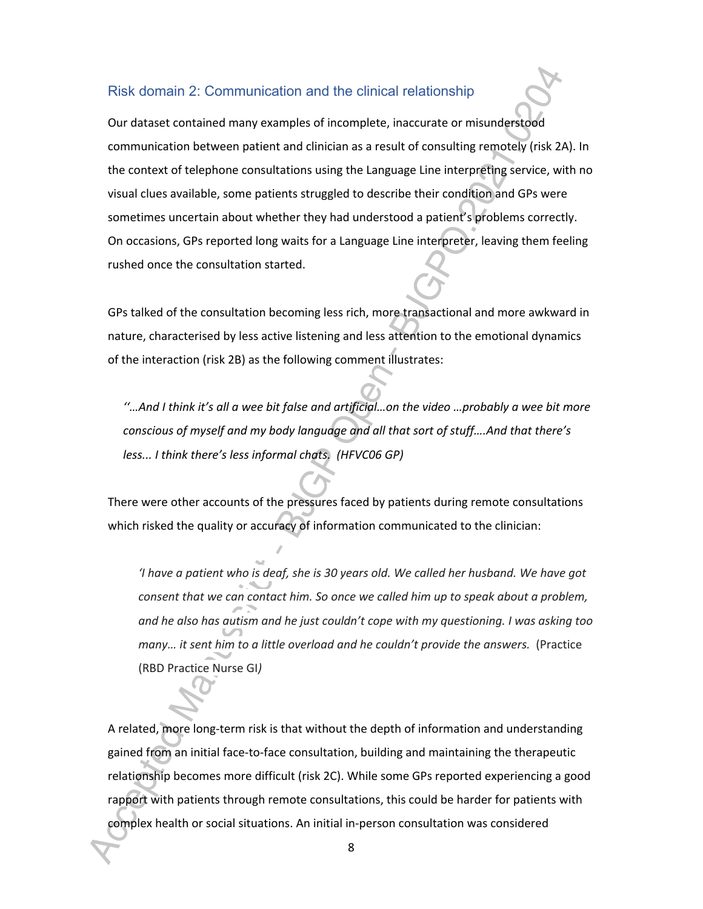#### Risk domain 2: Communication and the clinical relationship

Our dataset contained many examples of incomplete, inaccurate or misunderstood communication between patient and clinician as a result of consulting remotely (risk 2A). In the context of telephone consultations using the Language Line interpreting service, with no visual clues available, some patients struggled to describe their condition and GPs were sometimes uncertain about whether they had understood a patient's problems correctly. On occasions, GPs reported long waits for a Language Line interpreter, leaving them feeling rushed once the consultation started.

GPs talked of the consultation becoming less rich, more transactional and more awkward in nature, characterised by less active listening and less attention to the emotional dynamics of the interaction (risk 2B) as the following comment illustrates:

*''…And I think it's all a wee bit false and artificial…on the video …probably a wee bit more conscious of myself and my body language and all that sort of stuff….And that there's less... I think there's less informal chats. (HFVC06 GP)* 

There were other accounts of the pressures faced by patients during remote consultations which risked the quality or accuracy of information communicated to the clinician:

*'I have a patient who is deaf, she is 30 years old. We called her husband. We have got consent that we can contact him. So once we called him up to speak about a problem, and he also has autism and he just couldn't cope with my questioning. I was asking too many... it sent him to a little overload and he couldn't provide the answers.* (Practice (RBD Practice Nurse GI*)* 

A related, more long-term risk is that without the depth of information and understanding gained from an initial face-to-face consultation, building and maintaining the therapeutic relationship becomes more difficult (risk 2C). While some GPs reported experiencing a good rapport with patients through remote consultations, this could be harder for patients with complex health or social situations. An initial in-person consultation was considered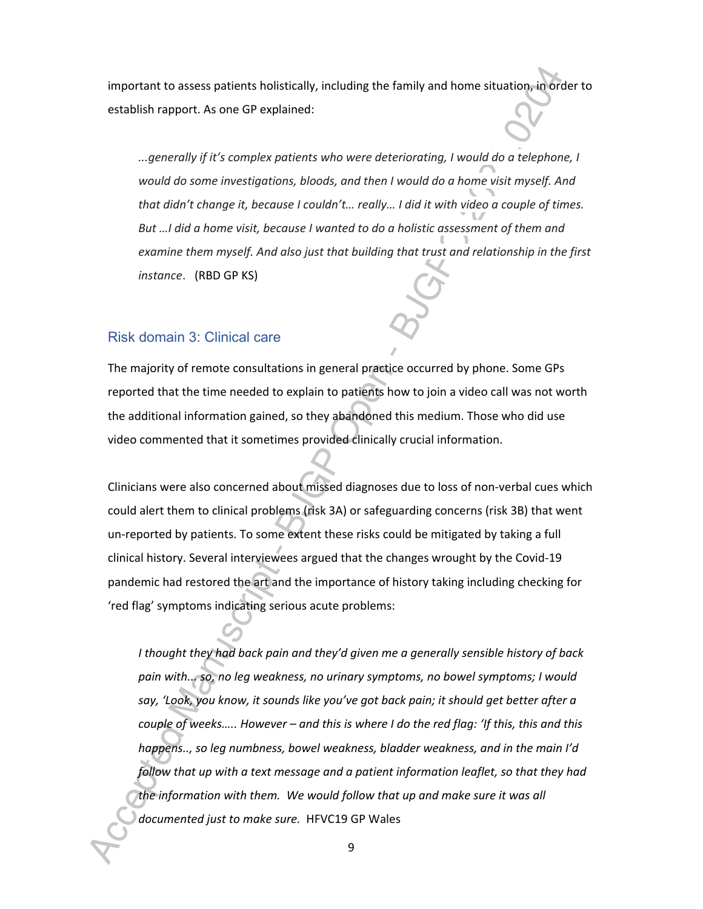important to assess patients holistically, including the family and home situation, in order to establish rapport. As one GP explained:

*...generally if it's complex patients who were deteriorating, I would do a telephone, I would do some investigations, bloods, and then I would do a home visit myself. And that didn't change it, because I couldn't… really… I did it with video a couple of times. But …I did a home visit, because I wanted to do a holistic assessment of them and examine them myself. And also just that building that trust and relationship in the first instance*. (RBD GP KS)

#### Risk domain 3: Clinical care

The majority of remote consultations in general practice occurred by phone. Some GPs reported that the time needed to explain to patients how to join a video call was not worth the additional information gained, so they abandoned this medium. Those who did use video commented that it sometimes provided clinically crucial information.

Clinicians were also concerned about missed diagnoses due to loss of non-verbal cues which could alert them to clinical problems (risk 3A) or safeguarding concerns (risk 3B) that went un-reported by patients. To some extent these risks could be mitigated by taking a full clinical history. Several interviewees argued that the changes wrought by the Covid-19 pandemic had restored the art and the importance of history taking including checking for 'red flag' symptoms indicating serious acute problems:

*I thought they had back pain and they'd given me a generally sensible history of back pain with... so, no leg weakness, no urinary symptoms, no bowel symptoms; I would say, 'Look, you know, it sounds like you've got back pain; it should get better after a couple of weeks….. However – and this is where I do the red flag: 'If this, this and this happens.., so leg numbness, bowel weakness, bladder weakness, and in the main I'd follow that up with a text message and a patient information leaflet, so that they had the information with them. We would follow that up and make sure it was all documented just to make sure.* HFVC19 GP Wales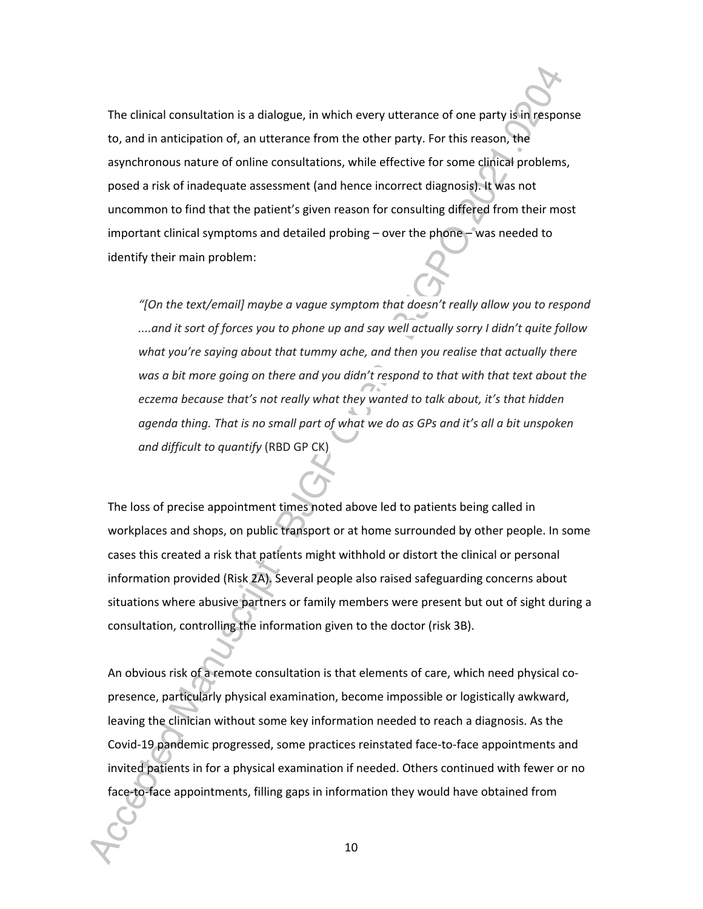The clinical consultation is a dialogue, in which every utterance of one party is in response to, and in anticipation of, an utterance from the other party. For this reason, the asynchronous nature of online consultations, while effective for some clinical problems, posed a risk of inadequate assessment (and hence incorrect diagnosis). It was not uncommon to find that the patient's given reason for consulting differed from their most important clinical symptoms and detailed probing – over the phone – was needed to identify their main problem:

*"[On the text/email] maybe a vague symptom that doesn't really allow you to respond ....and it sort of forces you to phone up and say well actually sorry I didn't quite follow what you're saying about that tummy ache, and then you realise that actually there was a bit more going on there and you didn't respond to that with that text about the eczema because that's not really what they wanted to talk about, it's that hidden agenda thing. That is no small part of what we do as GPs and it's all a bit unspoken and difficult to quantify* (RBD GP CK)

The loss of precise appointment times noted above led to patients being called in workplaces and shops, on public transport or at home surrounded by other people. In some cases this created a risk that patients might withhold or distort the clinical or personal information provided (Risk 2A). Several people also raised safeguarding concerns about situations where abusive partners or family members were present but out of sight during a consultation, controlling the information given to the doctor (risk 3B).

An obvious risk of a remote consultation is that elements of care, which need physical copresence, particularly physical examination, become impossible or logistically awkward, leaving the clinician without some key information needed to reach a diagnosis. As the Covid-19 pandemic progressed, some practices reinstated face-to-face appointments and invited patients in for a physical examination if needed. Others continued with fewer or no face-to-face appointments, filling gaps in information they would have obtained from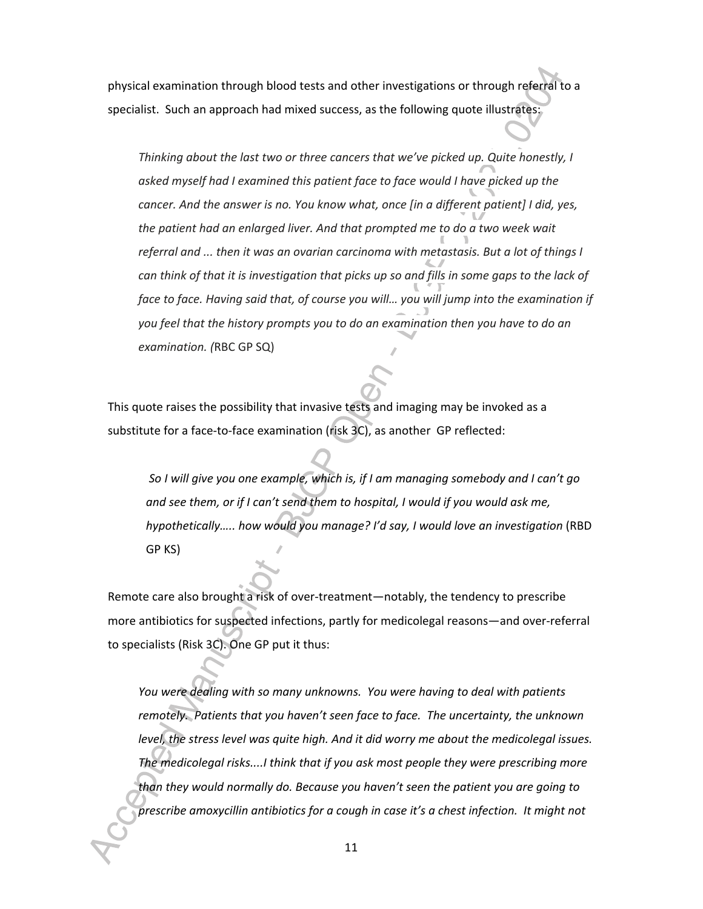physical examination through blood tests and other investigations or through referral to a specialist. Such an approach had mixed success, as the following quote illustrates:

*Thinking about the last two or three cancers that we've picked up. Quite honestly, I asked myself had I examined this patient face to face would I have picked up the cancer. And the answer is no. You know what, once [in a different patient] I did, yes, the patient had an enlarged liver. And that prompted me to do a two week wait referral and ... then it was an ovarian carcinoma with metastasis. But a lot of things I can think of that it is investigation that picks up so and fills in some gaps to the lack of face to face. Having said that, of course you will… you will jump into the examination if you feel that the history prompts you to do an examination then you have to do an examination. (*RBC GP SQ)

This quote raises the possibility that invasive tests and imaging may be invoked as a substitute for a face-to-face examination (risk 3C), as another GP reflected:

*So I will give you one example, which is, if I am managing somebody and I can't go and see them, or if I can't send them to hospital, I would if you would ask me, hypothetically..... how would you manage? I'd say, I would love an investigation (RBD* GP KS)

Remote care also brought a risk of over-treatment—notably, the tendency to prescribe more antibiotics for suspected infections, partly for medicolegal reasons—and over-referral to specialists (Risk 3C). One GP put it thus:

*You were dealing with so many unknowns. You were having to deal with patients remotely. Patients that you haven't seen face to face. The uncertainty, the unknown level, the stress level was quite high. And it did worry me about the medicolegal issues. The medicolegal risks....I think that if you ask most people they were prescribing more than they would normally do. Because you haven't seen the patient you are going to prescribe amoxycillin antibiotics for a cough in case it's a chest infection. It might not*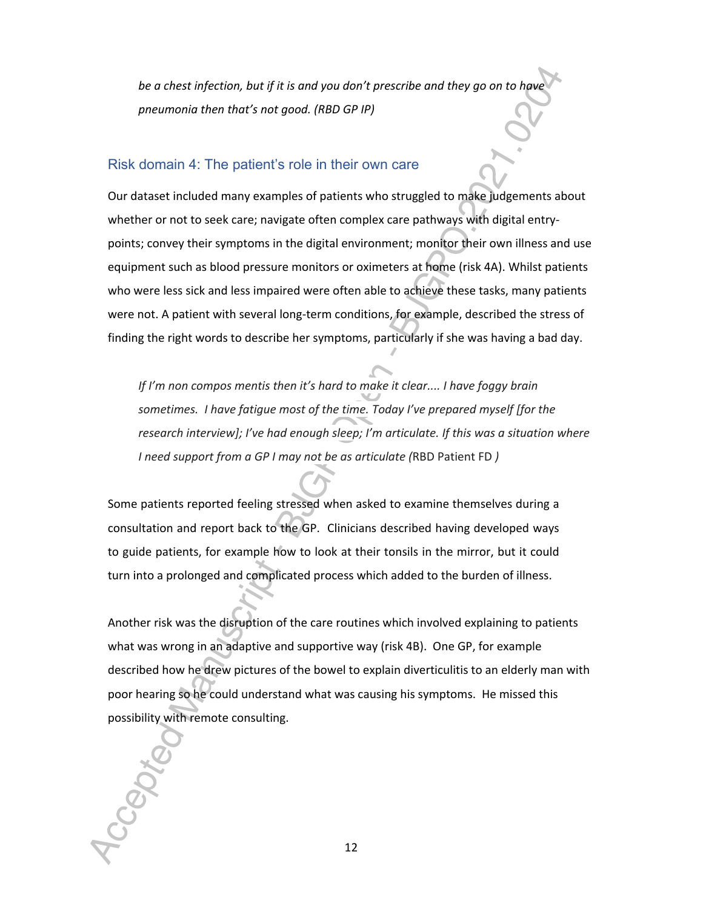*be a chest infection, but if it is and you don't prescribe and they go on to have pneumonia then that's not good. (RBD GP IP)*

#### Risk domain 4: The patient's role in their own care

Our dataset included many examples of patients who struggled to make judgements about whether or not to seek care; navigate often complex care pathways with digital entrypoints; convey their symptoms in the digital environment; monitor their own illness and use equipment such as blood pressure monitors or oximeters at home (risk 4A). Whilst patients who were less sick and less impaired were often able to achieve these tasks, many patients were not. A patient with several long-term conditions, for example, described the stress of finding the right words to describe her symptoms, particularly if she was having a bad day.

*If I'm non compos mentis then it's hard to make it clear.... I have foggy brain sometimes. I have fatigue most of the time. Today I've prepared myself [for the research interview]; I've had enough sleep; I'm articulate. If this was a situation where I need support from a GP I may not be as articulate (*RBD Patient FD *)*

Some patients reported feeling stressed when asked to examine themselves during a consultation and report back to the GP. Clinicians described having developed ways to guide patients, for example how to look at their tonsils in the mirror, but it could turn into a prolonged and complicated process which added to the burden of illness.

Another risk was the disruption of the care routines which involved explaining to patients what was wrong in an adaptive and supportive way (risk 4B). One GP, for example described how he drew pictures of the bowel to explain diverticulitis to an elderly man with poor hearing so he could understand what was causing his symptoms. He missed this possibility with remote consulting.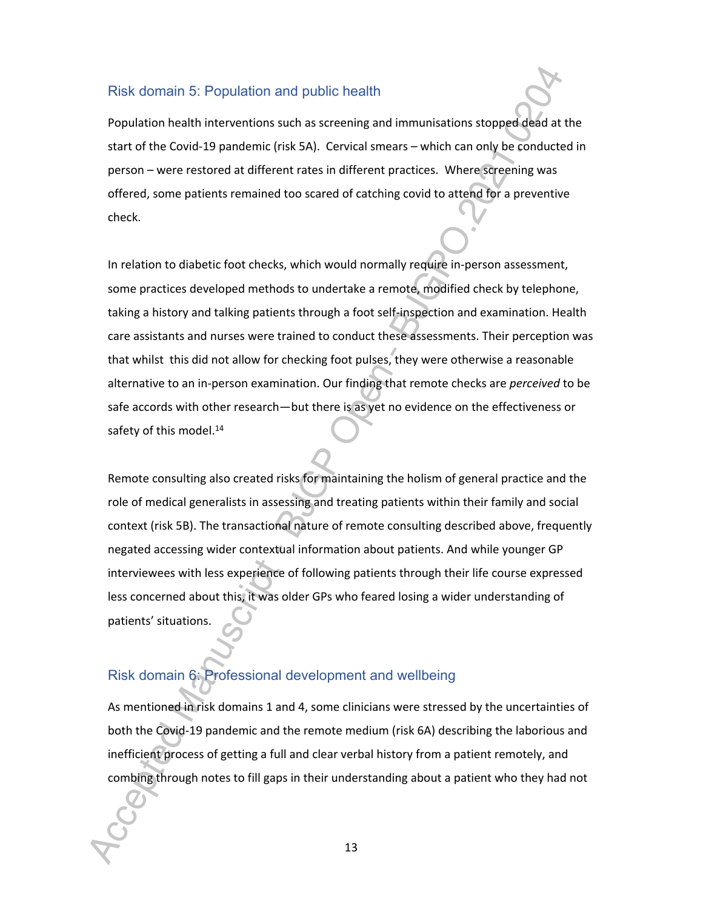#### Risk domain 5: Population and public health

Population health interventions such as screening and immunisations stopped dead at the start of the Covid-19 pandemic (risk 5A). Cervical smears – which can only be conducted in person – were restored at different rates in different practices. Where screening was offered, some patients remained too scared of catching covid to attend for a preventive check.

In relation to diabetic foot checks, which would normally require in-person assessment, some practices developed methods to undertake a remote, modified check by telephone, taking a history and talking patients through a foot self-inspection and examination. Health care assistants and nurses were trained to conduct these assessments. Their perception was that whilst this did not allow for checking foot pulses, they were otherwise a reasonable alternative to an in-person examination. Our finding that remote checks are *perceived* to be safe accords with other research—but there is as yet no evidence on the effectiveness or safety of this model.<sup>14</sup>

Remote consulting also created risks for maintaining the holism of general practice and the role of medical generalists in assessing and treating patients within their family and social context (risk 5B). The transactional nature of remote consulting described above, frequently negated accessing wider contextual information about patients. And while younger GP interviewees with less experience of following patients through their life course expressed less concerned about this, it was older GPs who feared losing a wider understanding of patients' situations.

## Risk domain 6: Professional development and wellbeing

As mentioned in risk domains 1 and 4, some clinicians were stressed by the uncertainties of both the Covid-19 pandemic and the remote medium (risk 6A) describing the laborious and inefficient process of getting a full and clear verbal history from a patient remotely, and combing through notes to fill gaps in their understanding about a patient who they had not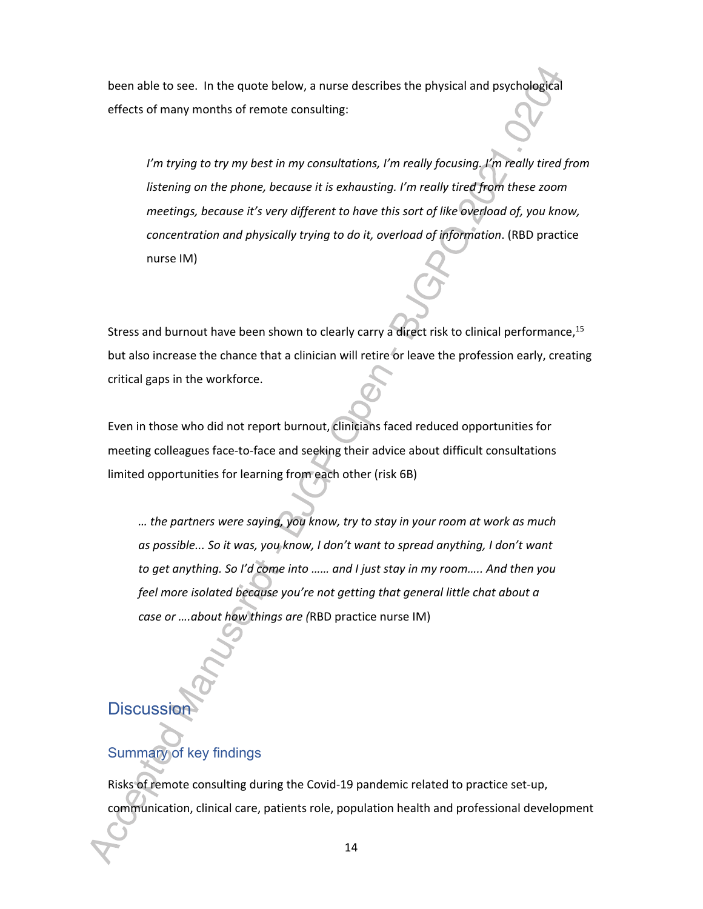been able to see. In the quote below, a nurse describes the physical and psychological effects of many months of remote consulting:

*I'm trying to try my best in my consultations, I'm really focusing. I'm really tired from listening on the phone, because it is exhausting. I'm really tired from these zoom meetings, because it's very different to have this sort of like overload of, you know, concentration and physically trying to do it, overload of information*. (RBD practice nurse IM)

Stress and burnout have been shown to clearly carry a direct risk to clinical performance,<sup>15</sup> but also increase the chance that a clinician will retire or leave the profession early, creating critical gaps in the workforce.

Even in those who did not report burnout, clinicians faced reduced opportunities for meeting colleagues face-to-face and seeking their advice about difficult consultations limited opportunities for learning from each other (risk 6B)

*… the partners were saying, you know, try to stay in your room at work as much as possible... So it was, you know, I don't want to spread anything, I don't want to get anything. So I'd come into …… and I just stay in my room….. And then you feel more isolated because you're not getting that general little chat about a case or ….about how things are (*RBD practice nurse IM)

**Discussio** 

# Summary of key findings

Risks of remote consulting during the Covid-19 pandemic related to practice set-up, communication, clinical care, patients role, population health and professional development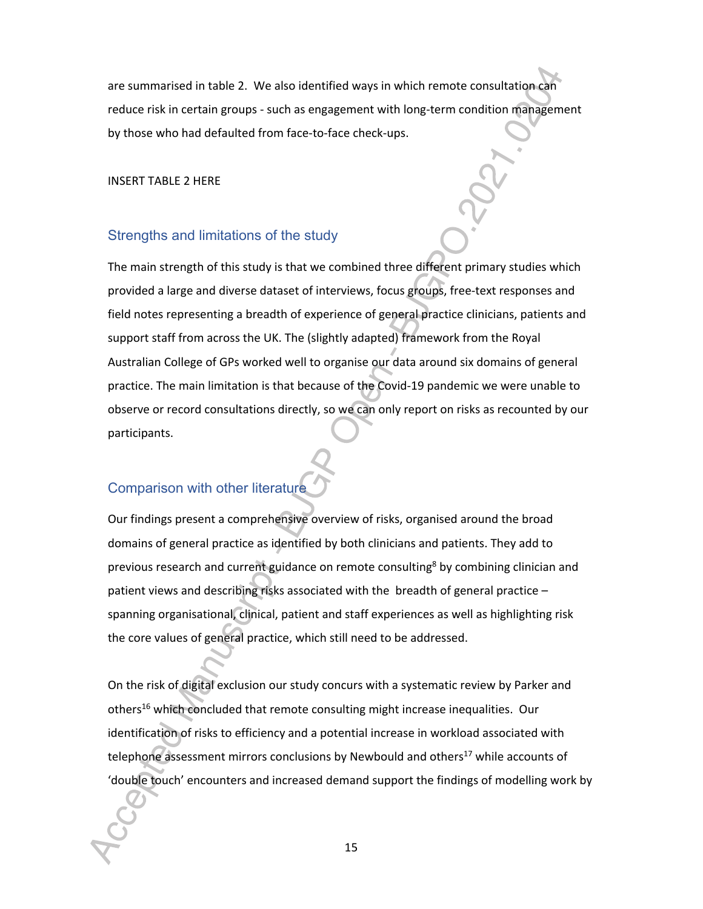are summarised in table 2. We also identified ways in which remote consultation can reduce risk in certain groups - such as engagement with long-term condition management by those who had defaulted from face-to-face check-ups.

INSERT TABLE 2 HERE

#### Strengths and limitations of the study

The main strength of this study is that we combined three different primary studies which provided a large and diverse dataset of interviews, focus groups, free-text responses and field notes representing a breadth of experience of general practice clinicians, patients and support staff from across the UK. The (slightly adapted) framework from the Royal Australian College of GPs worked well to organise our data around six domains of general practice. The main limitation is that because of the Covid-19 pandemic we were unable to observe or record consultations directly, so we can only report on risks as recounted by our participants.

## Comparison with other literature

Our findings present a comprehensive overview of risks, organised around the broad domains of general practice as identified by both clinicians and patients. They add to previous research and current guidance on remote consulting<sup>8</sup> by combining clinician and patient views and describing risks associated with the breadth of general practice – spanning organisational, clinical, patient and staff experiences as well as highlighting risk the core values of general practice, which still need to be addressed.

On the risk of digital exclusion our study concurs with a systematic review by Parker and others<sup>16</sup> which concluded that remote consulting might increase inequalities. Our identification of risks to efficiency and a potential increase in workload associated with telephone assessment mirrors conclusions by Newbould and others<sup>17</sup> while accounts of 'double touch' encounters and increased demand support the findings of modelling work by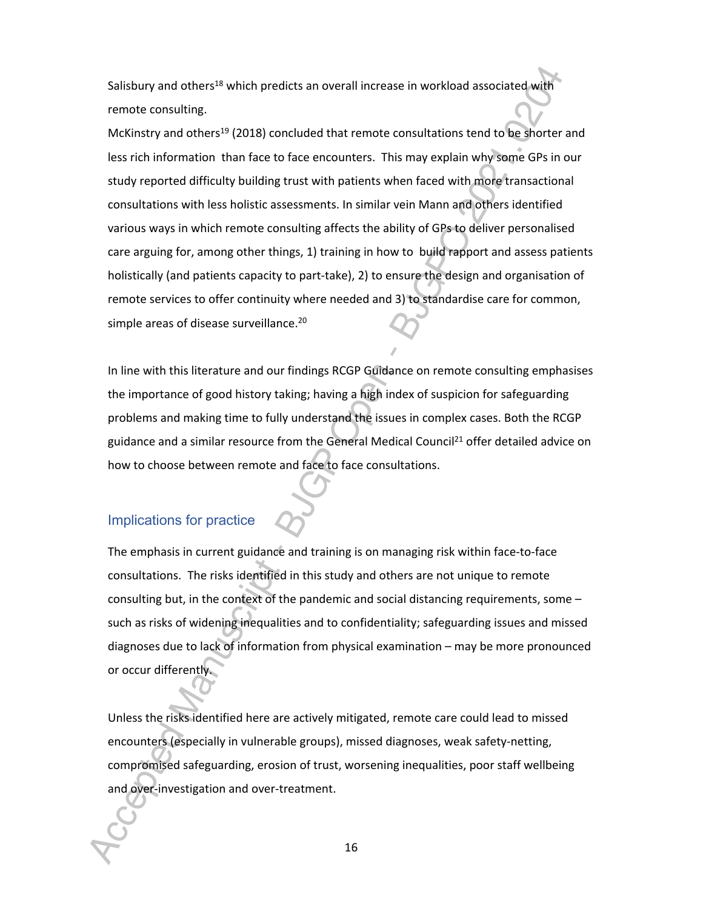Salisbury and others<sup>18</sup> which predicts an overall increase in workload associated with remote consulting.

McKinstry and others<sup>19</sup> (2018) concluded that remote consultations tend to be shorter and less rich information than face to face encounters. This may explain why some GPs in our study reported difficulty building trust with patients when faced with more transactional consultations with less holistic assessments. In similar vein Mann and others identified various ways in which remote consulting affects the ability of GPs to deliver personalised care arguing for, among other things, 1) training in how to build rapport and assess patients holistically (and patients capacity to part-take), 2) to ensure the design and organisation of remote services to offer continuity where needed and 3) to standardise care for common, simple areas of disease surveillance.<sup>20</sup>

In line with this literature and our findings RCGP Guidance on remote consulting emphasises the importance of good history taking; having a high index of suspicion for safeguarding problems and making time to fully understand the issues in complex cases. Both the RCGP guidance and a similar resource from the General Medical Council<sup>21</sup> offer detailed advice on how to choose between remote and face to face consultations.

#### Implications for practice

The emphasis in current guidance and training is on managing risk within face-to-face consultations. The risks identified in this study and others are not unique to remote consulting but, in the context of the pandemic and social distancing requirements, some – such as risks of widening inequalities and to confidentiality; safeguarding issues and missed diagnoses due to lack of information from physical examination – may be more pronounced or occur differently.

Unless the risks identified here are actively mitigated, remote care could lead to missed encounters (especially in vulnerable groups), missed diagnoses, weak safety-netting, compromised safeguarding, erosion of trust, worsening inequalities, poor staff wellbeing and over-investigation and over-treatment.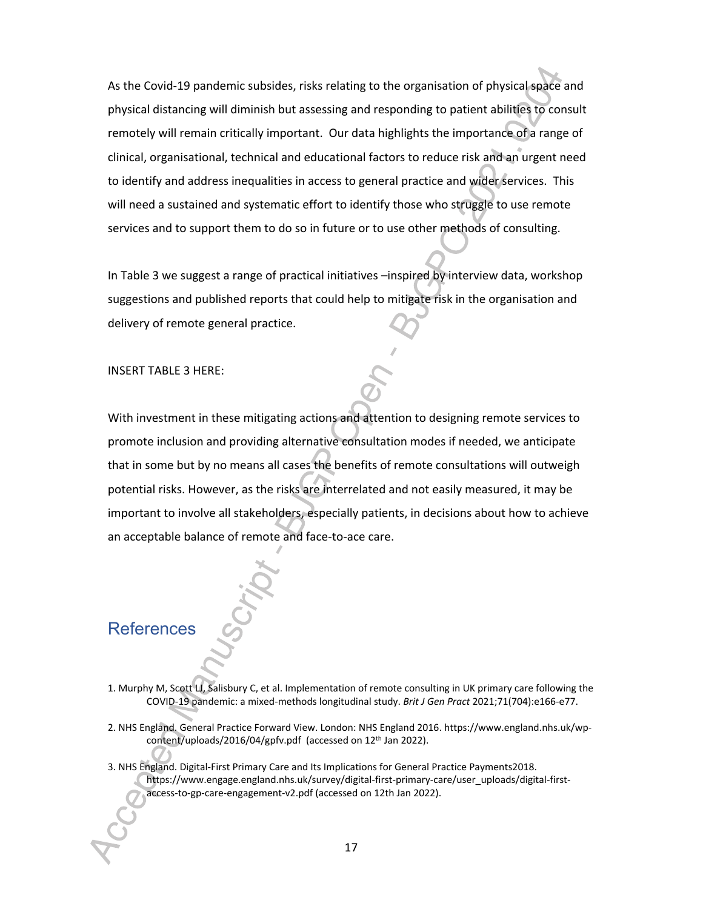As the Covid-19 pandemic subsides, risks relating to the organisation of physical space and physical distancing will diminish but assessing and responding to patient abilities to consult remotely will remain critically important. Our data highlights the importance of a range of clinical, organisational, technical and educational factors to reduce risk and an urgent need to identify and address inequalities in access to general practice and wider services. This will need a sustained and systematic effort to identify those who struggle to use remote services and to support them to do so in future or to use other methods of consulting.

In Table 3 we suggest a range of practical initiatives –inspired by interview data, workshop suggestions and published reports that could help to mitigate risk in the organisation and delivery of remote general practice.

INSERT TABLE 3 HERE:

With investment in these mitigating actions and attention to designing remote services to promote inclusion and providing alternative consultation modes if needed, we anticipate that in some but by no means all cases the benefits of remote consultations will outweigh potential risks. However, as the risks are interrelated and not easily measured, it may be important to involve all stakeholders, especially patients, in decisions about how to achieve an acceptable balance of remote and face-to-ace care.

# **References**

- 1. Murphy M, Scott LJ, Salisbury C, et al. Implementation of remote consulting in UK primary care following the COVID-19 pandemic: a mixed-methods longitudinal study. *Brit J Gen Pract* 2021;71(704):e166-e77.
- 2. NHS England. General Practice Forward View. London: NHS England 2016. https://www.england.nhs.uk/wpcontent/uploads/2016/04/gpfv.pdf (accessed on 12<sup>th</sup> Jan 2022).
- 3. NHS England. Digital-First Primary Care and Its Implications for General Practice Payments2018. https://www.engage.england.nhs.uk/survey/digital-first-primary-care/user\_uploads/digital-firstaccess-to-gp-care-engagement-v2.pdf (accessed on 12th Jan 2022).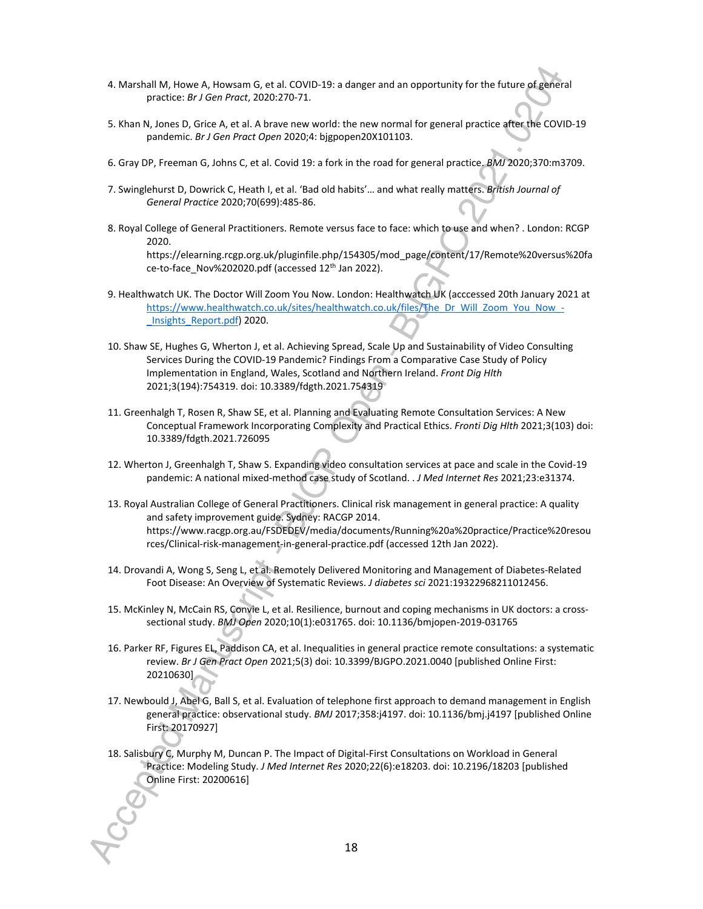- 4. Marshall M, Howe A, Howsam G, et al. COVID-19: a danger and an opportunity for the future of general practice: *Br J Gen Pract*, 2020:270-71.
- 5. Khan N, Jones D, Grice A, et al. A brave new world: the new normal for general practice after the COVID-19 pandemic. *Br J Gen Pract Open* 2020;4: bjgpopen20X101103.
- 6. Gray DP, Freeman G, Johns C, et al. Covid 19: a fork in the road for general practice. *BMJ* 2020;370:m3709.
- 7. Swinglehurst D, Dowrick C, Heath I, et al. 'Bad old habits'… and what really matters. *British Journal of General Practice* 2020;70(699):485-86.
- 8. Royal College of General Practitioners. Remote versus face to face: which to use and when? . London: RCGP 2020. https://elearning.rcgp.org.uk/pluginfile.php/154305/mod\_page/content/17/Remote%20versus%20fa ce-to-face\_Nov%202020.pdf (accessed 12<sup>th</sup> Jan 2022).
- 9. Healthwatch UK. The Doctor Will Zoom You Now. London: Healthwatch UK (acccessed 20th January 2021 at https://www.healthwatch.co.uk/sites/healthwatch.co.uk/files/The\_Dr\_Will\_Zoom\_You\_Now\_-\_Insights\_Report.pdf) 2020.
- 10. Shaw SE, Hughes G, Wherton J, et al. Achieving Spread, Scale Up and Sustainability of Video Consulting Services During the COVID-19 Pandemic? Findings From a Comparative Case Study of Policy Implementation in England, Wales, Scotland and Northern Ireland. *Front Dig Hlth* 2021;3(194):754319. doi: 10.3389/fdgth.2021.754319
- 11. Greenhalgh T, Rosen R, Shaw SE, et al. Planning and Evaluating Remote Consultation Services: A New Conceptual Framework Incorporating Complexity and Practical Ethics. *Fronti Dig Hlth* 2021;3(103) doi: 10.3389/fdgth.2021.726095
- 12. Wherton J, Greenhalgh T, Shaw S. Expanding video consultation services at pace and scale in the Covid-19 pandemic: A national mixed-method case study of Scotland. . *J Med Internet Res* 2021;23:e31374.
- 13. Royal Australian College of General Practitioners. Clinical risk management in general practice: A quality and safety improvement guide. Sydney: RACGP 2014. https://www.racgp.org.au/FSDEDEV/media/documents/Running%20a%20practice/Practice%20resou rces/Clinical-risk-management-in-general-practice.pdf (accessed 12th Jan 2022).
- 14. Drovandi A, Wong S, Seng L, et al. Remotely Delivered Monitoring and Management of Diabetes-Related Foot Disease: An Overview of Systematic Reviews. *J diabetes sci* 2021:19322968211012456.
- 15. McKinley N, McCain RS, Convie L, et al. Resilience, burnout and coping mechanisms in UK doctors: a crosssectional study. *BMJ Open* 2020;10(1):e031765. doi: 10.1136/bmjopen-2019-031765
- 16. Parker RF, Figures EL, Paddison CA, et al. Inequalities in general practice remote consultations: a systematic review. *Br J Gen Pract Open* 2021;5(3) doi: 10.3399/BJGPO.2021.0040 [published Online First: 20210630]
- 17. Newbould J, Abel G, Ball S, et al. Evaluation of telephone first approach to demand management in English general practice: observational study. *BMJ* 2017;358:j4197. doi: 10.1136/bmj.j4197 [published Online First: 20170927]
- 18. Salisbury C, Murphy M, Duncan P. The Impact of Digital-First Consultations on Workload in General Practice: Modeling Study. *J Med Internet Res* 2020;22(6):e18203. doi: 10.2196/18203 [published Online First: 20200616]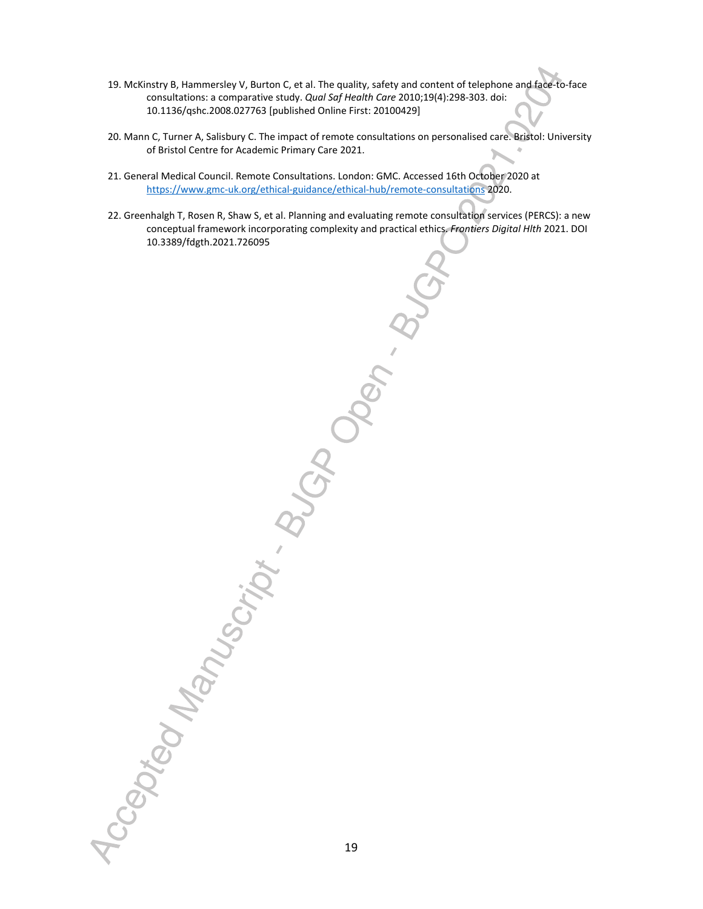- 19. McKinstry B, Hammersley V, Burton C, et al. The quality, safety and content of telephone and face-to-face consultations: a comparative study. *Qual Saf Health Care* 2010;19(4):298-303. doi: 10.1136/qshc.2008.027763 [published Online First: 20100429]
- 20. Mann C, Turner A, Salisbury C. The impact of remote consultations on personalised care. Bristol: University of Bristol Centre for Academic Primary Care 2021.
- 21. General Medical Council. Remote Consultations. London: GMC. Accessed 16th October 2020 at https://www.gmc-uk.org/ethical-guidance/ethical-hub/remote-consultations 2020.
- 22. Greenhalgh T, Rosen R, Shaw S, et al. Planning and evaluating remote consultation services (PERCS): a new conceptual framework incorporating complexity and practical ethics. *Frontiers Digital Hlth* 2021. DOI 10.3389/fdgth.2021.726095

"Cegokov Manuscript . BUC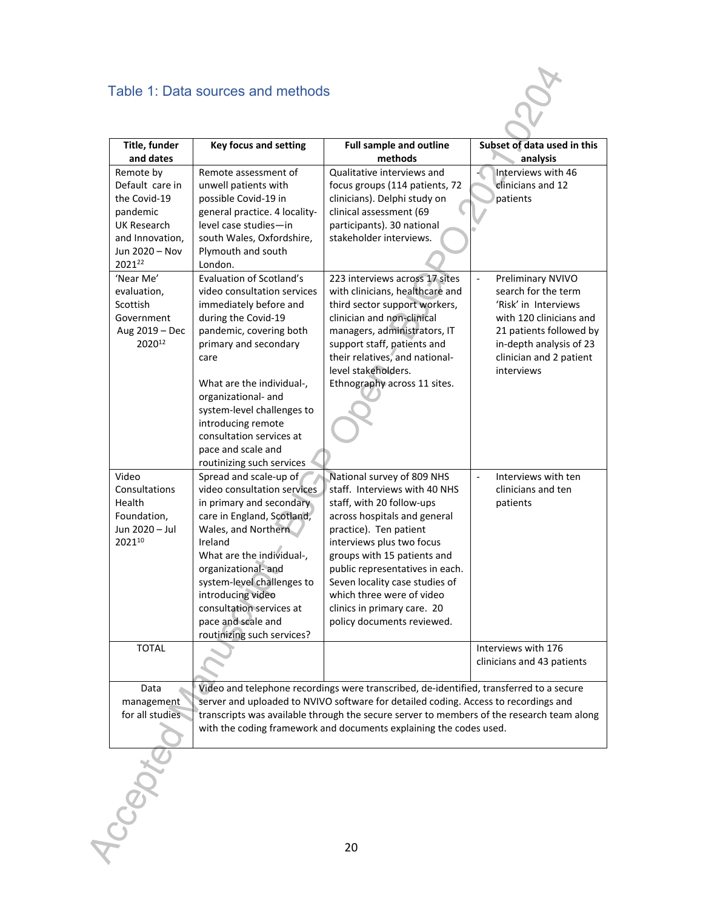# Table 1: Data sources and methods

|                                                                                        | Table 1: Data sources and methods                                                                                                                                                                                                                                                                                                       |                                                                                                                                                                                                                                                                                                                                                                               |                                                                                                                                                                                                              |
|----------------------------------------------------------------------------------------|-----------------------------------------------------------------------------------------------------------------------------------------------------------------------------------------------------------------------------------------------------------------------------------------------------------------------------------------|-------------------------------------------------------------------------------------------------------------------------------------------------------------------------------------------------------------------------------------------------------------------------------------------------------------------------------------------------------------------------------|--------------------------------------------------------------------------------------------------------------------------------------------------------------------------------------------------------------|
| Title, funder<br>and dates                                                             | <b>Key focus and setting</b>                                                                                                                                                                                                                                                                                                            | <b>Full sample and outline</b><br>methods                                                                                                                                                                                                                                                                                                                                     | Subset of data used in this<br>analysis                                                                                                                                                                      |
| Remote by<br>Default care in                                                           | Remote assessment of<br>unwell patients with                                                                                                                                                                                                                                                                                            | Qualitative interviews and<br>focus groups (114 patients, 72                                                                                                                                                                                                                                                                                                                  | Interviews with 46<br>clinicians and 12                                                                                                                                                                      |
| the Covid-19<br>pandemic<br>UK Research<br>and Innovation,<br>Jun 2020 - Nov<br>202122 | possible Covid-19 in<br>general practice. 4 locality-<br>level case studies-in<br>south Wales, Oxfordshire,<br>Plymouth and south<br>London.                                                                                                                                                                                            | clinicians). Delphi study on<br>clinical assessment (69<br>participants). 30 national<br>stakeholder interviews.                                                                                                                                                                                                                                                              | patients                                                                                                                                                                                                     |
| 'Near Me'<br>evaluation,<br>Scottish<br>Government<br>Aug 2019 - Dec<br>202012         | <b>Evaluation of Scotland's</b><br>video consultation services<br>immediately before and<br>during the Covid-19<br>pandemic, covering both<br>primary and secondary<br>care<br>What are the individual-,                                                                                                                                | 223 interviews across 17 sites<br>with clinicians, healthcare and<br>third sector support workers,<br>clinician and non-clinical<br>managers, administrators, IT<br>support staff, patients and<br>their relatives, and national-<br>level stakeholders.<br>Ethnography across 11 sites.                                                                                      | $\blacksquare$<br>Preliminary NVIVO<br>search for the term<br>'Risk' in Interviews<br>with 120 clinicians and<br>21 patients followed by<br>in-depth analysis of 23<br>clinician and 2 patient<br>interviews |
|                                                                                        | organizational- and<br>system-level challenges to<br>introducing remote<br>consultation services at<br>pace and scale and<br>routinizing such services                                                                                                                                                                                  |                                                                                                                                                                                                                                                                                                                                                                               |                                                                                                                                                                                                              |
| Video<br>Consultations<br>Health<br>Foundation,<br>Jun 2020 - Jul<br>202110            | Spread and scale-up of<br>video consultation services<br>in primary and secondary<br>care in England, Scotland,<br>Wales, and Northern<br>Ireland<br>What are the individual-,<br>organizational-and<br>system-level challenges to<br>introducing video<br>consultation services at<br>pace and scale and<br>routinizing such services? | National survey of 809 NHS<br>staff. Interviews with 40 NHS<br>staff, with 20 follow-ups<br>across hospitals and general<br>practice). Ten patient<br>interviews plus two focus<br>groups with 15 patients and<br>public representatives in each.<br>Seven locality case studies of<br>which three were of video<br>clinics in primary care. 20<br>policy documents reviewed. | Interviews with ten<br>$\Box$<br>clinicians and ten<br>patients                                                                                                                                              |
| <b>TOTAL</b>                                                                           |                                                                                                                                                                                                                                                                                                                                         |                                                                                                                                                                                                                                                                                                                                                                               | Interviews with 176<br>clinicians and 43 patients                                                                                                                                                            |
| Data<br>management<br>for all studies                                                  |                                                                                                                                                                                                                                                                                                                                         | Video and telephone recordings were transcribed, de-identified, transferred to a secure<br>server and uploaded to NVIVO software for detailed coding. Access to recordings and<br>transcripts was available through the secure server to members of the research team along<br>with the coding framework and documents explaining the codes used.                             |                                                                                                                                                                                                              |
| CC <sub>GOT</sub>                                                                      |                                                                                                                                                                                                                                                                                                                                         | 20                                                                                                                                                                                                                                                                                                                                                                            |                                                                                                                                                                                                              |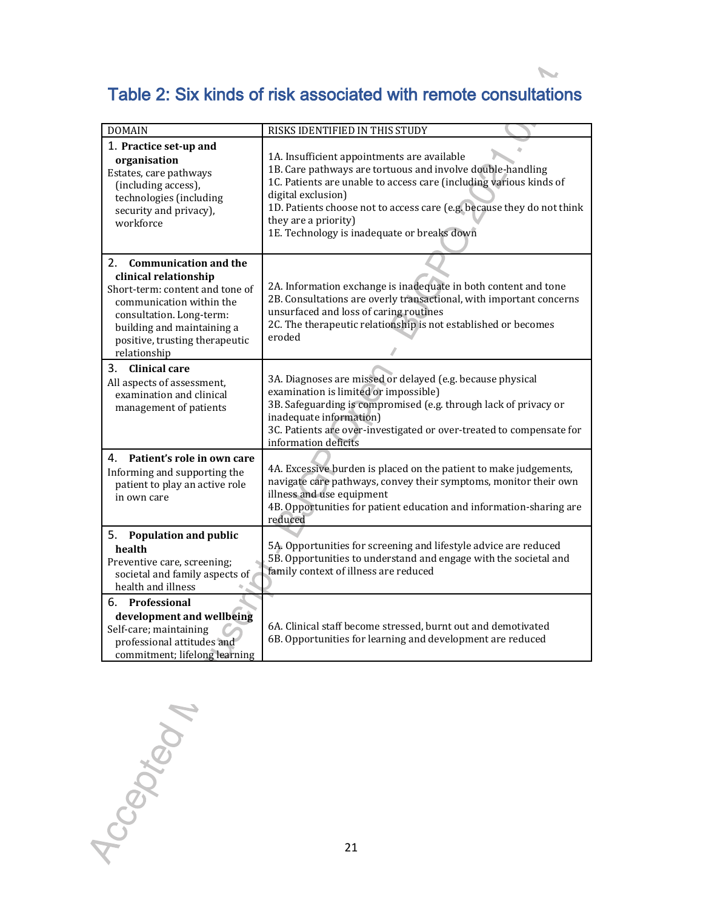# **Table 2: Six kinds of risk associated with remote consultations**

 $\overline{\phantom{a}}$ 

| <b>DOMAIN</b>                                                                                                                                                                                                                          | RISKS IDENTIFIED IN THIS STUDY                                                                                                                                                                                                                                                                                                                         |
|----------------------------------------------------------------------------------------------------------------------------------------------------------------------------------------------------------------------------------------|--------------------------------------------------------------------------------------------------------------------------------------------------------------------------------------------------------------------------------------------------------------------------------------------------------------------------------------------------------|
| 1. Practice set-up and<br>organisation<br>Estates, care pathways<br>(including access),<br>technologies (including<br>security and privacy),<br>workforce                                                                              | 1A. Insufficient appointments are available<br>1B. Care pathways are tortuous and involve double-handling<br>1C. Patients are unable to access care (including various kinds of<br>digital exclusion)<br>1D. Patients choose not to access care (e.g. because they do not think<br>they are a priority)<br>1E. Technology is inadequate or breaks down |
| 2.<br><b>Communication and the</b><br>clinical relationship<br>Short-term: content and tone of<br>communication within the<br>consultation. Long-term:<br>building and maintaining a<br>positive, trusting therapeutic<br>relationship | 2A. Information exchange is inadequate in both content and tone<br>2B. Consultations are overly transactional, with important concerns<br>unsurfaced and loss of caring routines<br>2C. The therapeutic relationship is not established or becomes<br>eroded                                                                                           |
| 3.<br><b>Clinical care</b><br>All aspects of assessment,<br>examination and clinical<br>management of patients                                                                                                                         | 3A. Diagnoses are missed or delayed (e.g. because physical<br>examination is limited or impossible)<br>3B. Safeguarding is compromised (e.g. through lack of privacy or<br>inadequate information)<br>3C. Patients are over-investigated or over-treated to compensate for<br>information deficits                                                     |
| Patient's role in own care<br>4.<br>Informing and supporting the<br>patient to play an active role<br>in own care                                                                                                                      | 4A. Excessive burden is placed on the patient to make judgements,<br>navigate care pathways, convey their symptoms, monitor their own<br>illness and use equipment<br>4B. Opportunities for patient education and information-sharing are<br>reduced                                                                                                   |
| <b>Population and public</b><br>5.<br>health<br>Preventive care, screening;<br>societal and family aspects of<br>health and illness                                                                                                    | 5A. Opportunities for screening and lifestyle advice are reduced<br>5B. Opportunities to understand and engage with the societal and<br>family context of illness are reduced                                                                                                                                                                          |
| 6. Professional<br>development and wellbeing<br>Self-care; maintaining<br>professional attitudes and<br>commitment; lifelong learning                                                                                                  | 6A. Clinical staff become stressed, burnt out and demotivated<br>6B. Opportunities for learning and development are reduced                                                                                                                                                                                                                            |

Accepted 1